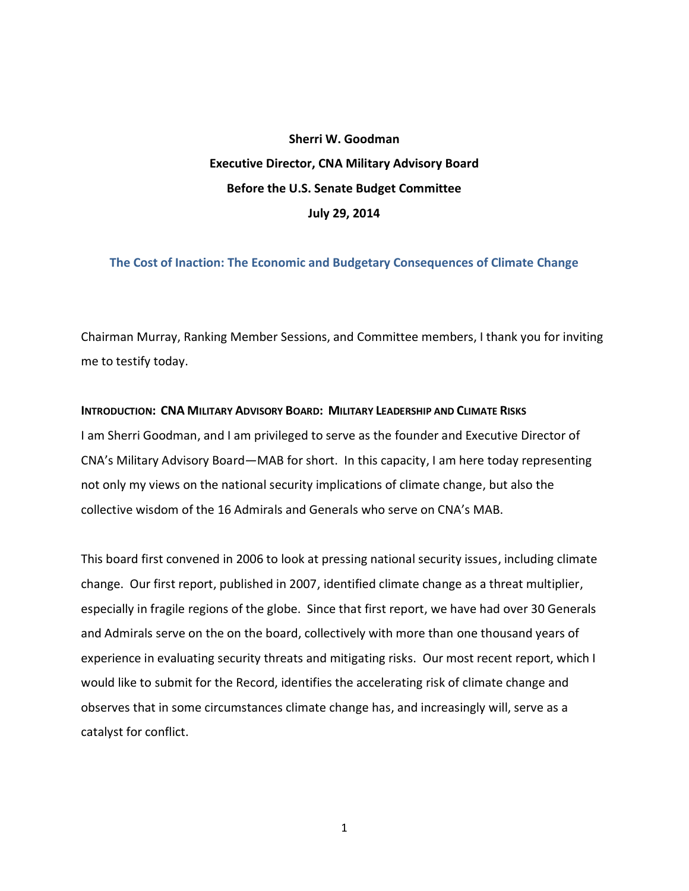# **Sherri W. Goodman Executive Director, CNA Military Advisory Board Before the U.S. Senate Budget Committee July 29, 2014**

## **The Cost of Inaction: The Economic and Budgetary Consequences of Climate Change**

Chairman Murray, Ranking Member Sessions, and Committee members, I thank you for inviting me to testify today.

#### INTRODUCTION: CNA MILITARY ADVISORY BOARD: MILITARY LEADERSHIP AND CLIMATE RISKS

I am Sherri Goodman, and I am privileged to serve as the founder and Executive Director of CNA's Military Advisory Board—MAB for short. In this capacity, I am here today representing not only my views on the national security implications of climate change, but also the collective wisdom of the 16 Admirals and Generals who serve on CNA's MAB.

This board first convened in 2006 to look at pressing national security issues, including climate change. Our first report, published in 2007, identified climate change as a threat multiplier, especially in fragile regions of the globe. Since that first report, we have had over 30 Generals and Admirals serve on the on the board, collectively with more than one thousand years of experience in evaluating security threats and mitigating risks. Our most recent report, which I would like to submit for the Record, identifies the accelerating risk of climate change and observes that in some circumstances climate change has, and increasingly will, serve as a catalyst for conflict.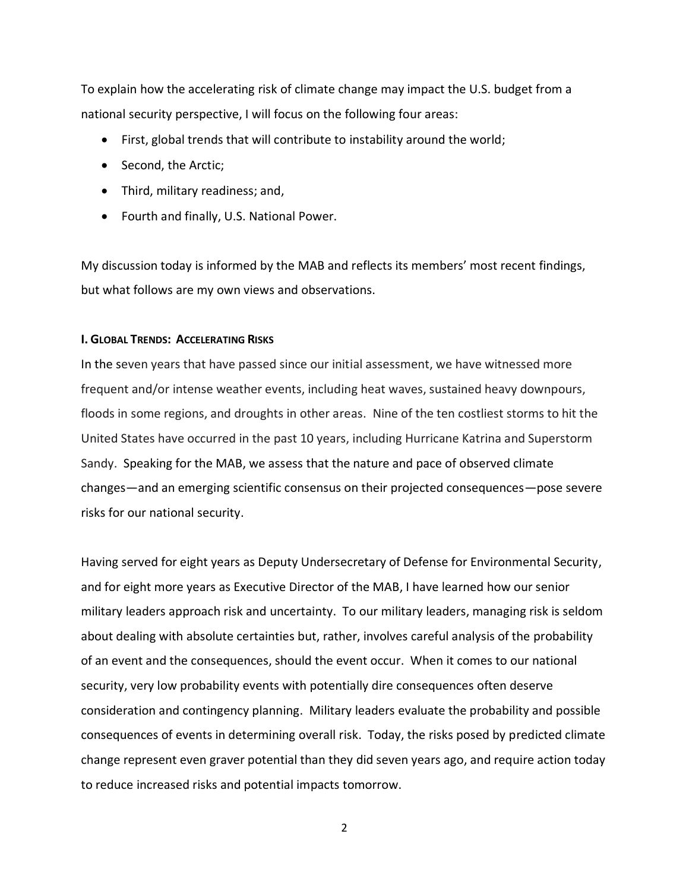To explain how the accelerating risk of climate change may impact the U.S. budget from a national security perspective, I will focus on the following four areas:

- First, global trends that will contribute to instability around the world;
- Second, the Arctic;
- Third, military readiness; and,
- Fourth and finally, U.S. National Power.

My discussion today is informed by the MAB and reflects its members' most recent findings, but what follows are my own views and observations.

## **I. GLOBAL TRENDS: ACCELERATING RISKS**

In the seven years that have passed since our initial assessment, we have witnessed more frequent and/or intense weather events, including heat waves, sustained heavy downpours, floods in some regions, and droughts in other areas. Nine of the ten costliest storms to hit the United States have occurred in the past 10 years, including Hurricane Katrina and Superstorm Sandy. Speaking for the MAB, we assess that the nature and pace of observed climate changes—and an emerging scientific consensus on their projected consequences—pose severe risks for our national security.

Having served for eight years as Deputy Undersecretary of Defense for Environmental Security, and for eight more years as Executive Director of the MAB, I have learned how our senior military leaders approach risk and uncertainty. To our military leaders, managing risk is seldom about dealing with absolute certainties but, rather, involves careful analysis of the probability of an event and the consequences, should the event occur. When it comes to our national security, very low probability events with potentially dire consequences often deserve consideration and contingency planning. Military leaders evaluate the probability and possible consequences of events in determining overall risk. Today, the risks posed by predicted climate change represent even graver potential than they did seven years ago, and require action today to reduce increased risks and potential impacts tomorrow.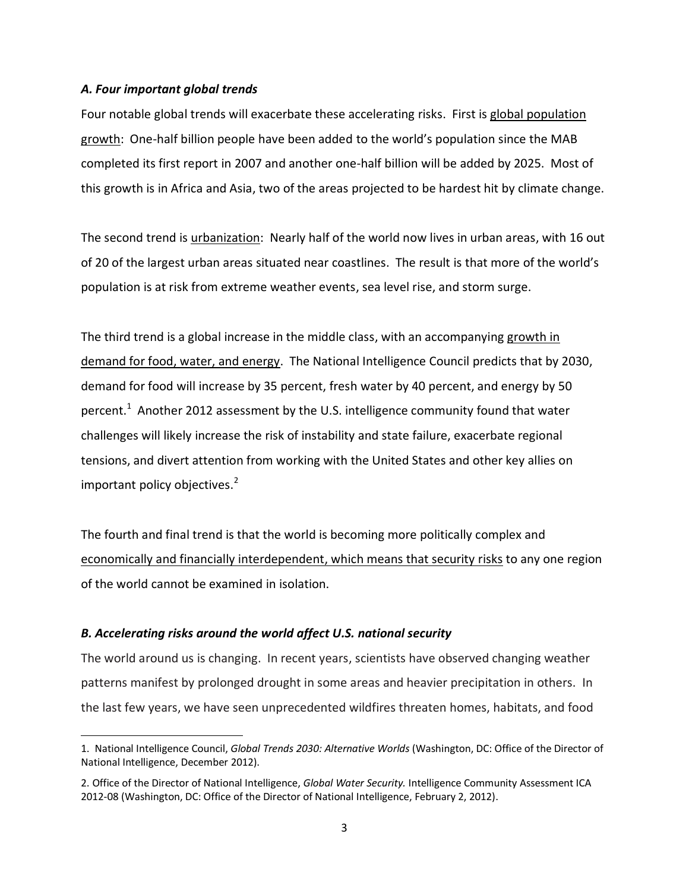# *A. Four important global trends*

Four notable global trends will exacerbate these accelerating risks. First is global population growth: One-half billion people have been added to the world's population since the MAB completed its first report in 2007 and another one-half billion will be added by 2025. Most of this growth is in Africa and Asia, two of the areas projected to be hardest hit by climate change.

The second trend is urbanization: Nearly half of the world now lives in urban areas, with 16 out of 20 of the largest urban areas situated near coastlines. The result is that more of the world's population is at risk from extreme weather events, sea level rise, and storm surge.

The third trend is a global increase in the middle class, with an accompanying growth in demand for food, water, and energy. The National Intelligence Council predicts that by 2030, demand for food will increase by 35 percent, fresh water by 40 percent, and energy by 50 percent.<sup>1</sup> Another 2012 assessment by the U.S. intelligence community found that water challenges will likely increase the risk of instability and state failure, exacerbate regional tensions, and divert attention from working with the United States and other key allies on important policy objectives.<sup>2</sup>

The fourth and final trend is that the world is becoming more politically complex and economically and financially interdependent, which means that security risks to any one region of the world cannot be examined in isolation.

# *B. Accelerating risks around the world affect U.S. national security*

 $\overline{\phantom{a}}$ 

The world around us is changing. In recent years, scientists have observed changing weather patterns manifest by prolonged drought in some areas and heavier precipitation in others. In the last few years, we have seen unprecedented wildfires threaten homes, habitats, and food

<sup>1.</sup> National Intelligence Council, *Global Trends 2030: Alternative Worlds* (Washington, DC: Office of the Director of National Intelligence, December 2012).

<sup>2.</sup> Office of the Director of National Intelligence, *Global Water Security.* Intelligence Community Assessment ICA 2012-08 (Washington, DC: Office of the Director of National Intelligence, February 2, 2012).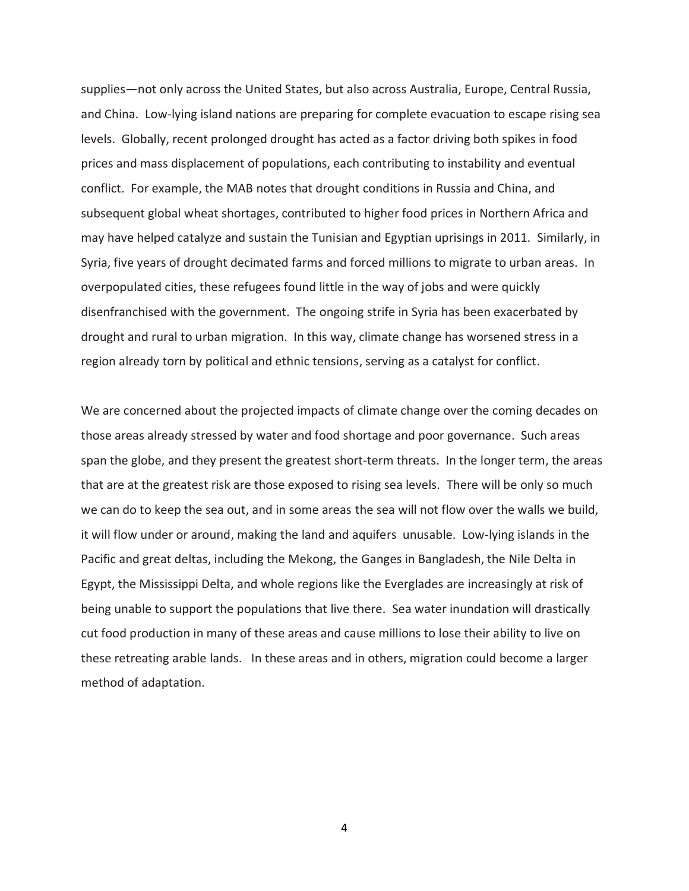supplies—not only across the United States, but also across Australia, Europe, Central Russia, and China. Low-lying island nations are preparing for complete evacuation to escape rising sea levels. Globally, recent prolonged drought has acted as a factor driving both spikes in food prices and mass displacement of populations, each contributing to instability and eventual conflict. For example, the MAB notes that drought conditions in Russia and China, and subsequent global wheat shortages, contributed to higher food prices in Northern Africa and may have helped catalyze and sustain the Tunisian and Egyptian uprisings in 2011. Similarly, in Syria, five years of drought decimated farms and forced millions to migrate to urban areas. In overpopulated cities, these refugees found little in the way of jobs and were quickly disenfranchised with the government. The ongoing strife in Syria has been exacerbated by drought and rural to urban migration. In this way, climate change has worsened stress in a region already torn by political and ethnic tensions, serving as a catalyst for conflict.

We are concerned about the projected impacts of climate change over the coming decades on those areas already stressed by water and food shortage and poor governance. Such areas span the globe, and they present the greatest short-term threats. In the longer term, the areas that are at the greatest risk are those exposed to rising sea levels. There will be only so much we can do to keep the sea out, and in some areas the sea will not flow over the walls we build, it will flow under or around, making the land and aquifers unusable. Low-lying islands in the Pacific and great deltas, including the Mekong, the Ganges in Bangladesh, the Nile Delta in Egypt, the Mississippi Delta, and whole regions like the Everglades are increasingly at risk of being unable to support the populations that live there. Sea water inundation will drastically cut food production in many of these areas and cause millions to lose their ability to live on these retreating arable lands. In these areas and in others, migration could become a larger method of adaptation.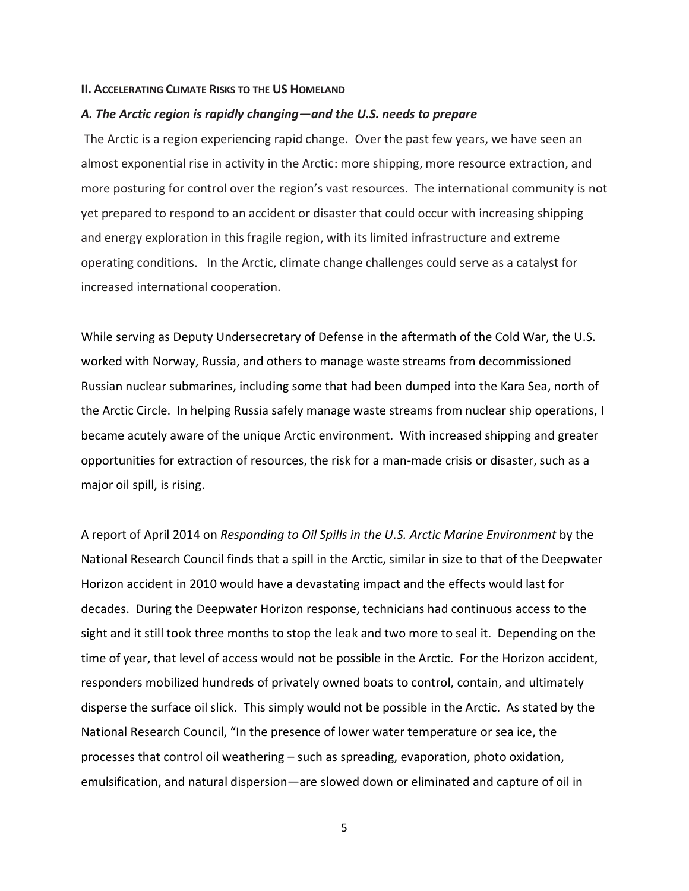#### **II. ACCELERATING CLIMATE RISKS TO THE US HOMELAND**

#### *A. The Arctic region is rapidly changing—and the U.S. needs to prepare*

The Arctic is a region experiencing rapid change. Over the past few years, we have seen an almost exponential rise in activity in the Arctic: more shipping, more resource extraction, and more posturing for control over the region's vast resources. The international community is not yet prepared to respond to an accident or disaster that could occur with increasing shipping and energy exploration in this fragile region, with its limited infrastructure and extreme operating conditions. In the Arctic, climate change challenges could serve as a catalyst for increased international cooperation.

While serving as Deputy Undersecretary of Defense in the aftermath of the Cold War, the U.S. worked with Norway, Russia, and others to manage waste streams from decommissioned Russian nuclear submarines, including some that had been dumped into the Kara Sea, north of the Arctic Circle. In helping Russia safely manage waste streams from nuclear ship operations, I became acutely aware of the unique Arctic environment. With increased shipping and greater opportunities for extraction of resources, the risk for a man-made crisis or disaster, such as a major oil spill, is rising.

A report of April 2014 on *Responding to Oil Spills in the U.S. Arctic Marine Environment* by the National Research Council finds that a spill in the Arctic, similar in size to that of the Deepwater Horizon accident in 2010 would have a devastating impact and the effects would last for decades. During the Deepwater Horizon response, technicians had continuous access to the sight and it still took three months to stop the leak and two more to seal it. Depending on the time of year, that level of access would not be possible in the Arctic. For the Horizon accident, responders mobilized hundreds of privately owned boats to control, contain, and ultimately disperse the surface oil slick. This simply would not be possible in the Arctic. As stated by the National Research Council, "In the presence of lower water temperature or sea ice, the processes that control oil weathering – such as spreading, evaporation, photo oxidation, emulsification, and natural dispersion—are slowed down or eliminated and capture of oil in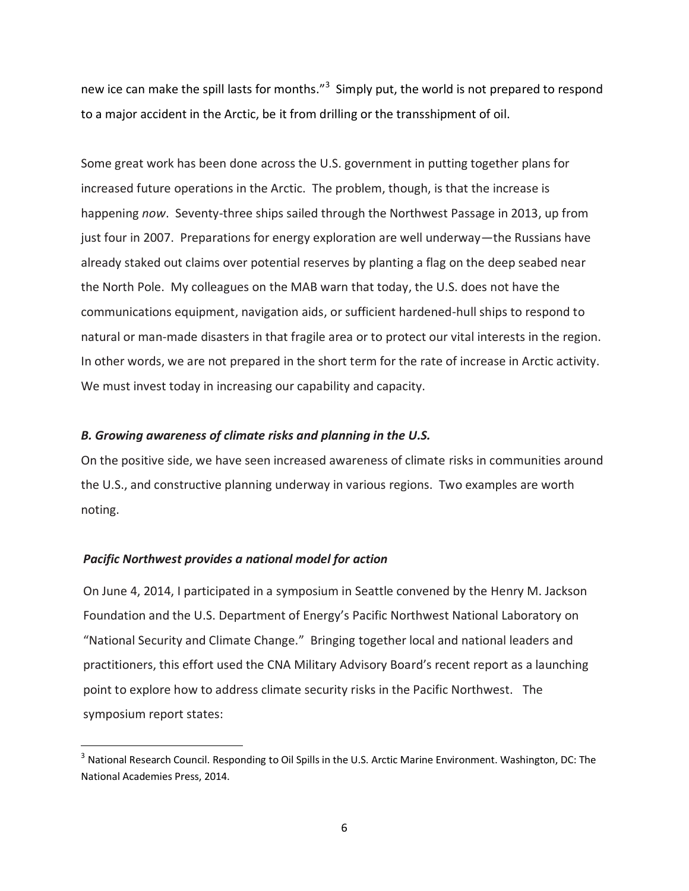new ice can make the spill lasts for months."<sup>3</sup> Simply put, the world is not prepared to respond to a major accident in the Arctic, be it from drilling or the transshipment of oil.

Some great work has been done across the U.S. government in putting together plans for increased future operations in the Arctic. The problem, though, is that the increase is happening *now*. Seventy-three ships sailed through the Northwest Passage in 2013, up from just four in 2007. Preparations for energy exploration are well underway—the Russians have already staked out claims over potential reserves by planting a flag on the deep seabed near the North Pole. My colleagues on the MAB warn that today, the U.S. does not have the communications equipment, navigation aids, or sufficient hardened-hull ships to respond to natural or man-made disasters in that fragile area or to protect our vital interests in the region. In other words, we are not prepared in the short term for the rate of increase in Arctic activity. We must invest today in increasing our capability and capacity.

# *B. Growing awareness of climate risks and planning in the U.S.*

On the positive side, we have seen increased awareness of climate risks in communities around the U.S., and constructive planning underway in various regions. Two examples are worth noting.

## *Pacific Northwest provides a national model for action*

 $\overline{\phantom{a}}$ 

On June 4, 2014, I participated in a symposium in Seattle convened by the Henry M. Jackson Foundation and the U.S. Department of Energy's Pacific Northwest National Laboratory on "National Security and Climate Change." Bringing together local and national leaders and practitioners, this effort used the CNA Military Advisory Board's recent report as a launching point to explore how to address climate security risks in the Pacific Northwest. The symposium report states:

<sup>&</sup>lt;sup>3</sup> National Research Council. Responding to Oil Spills in the U.S. Arctic Marine Environment. Washington, DC: The National Academies Press, 2014.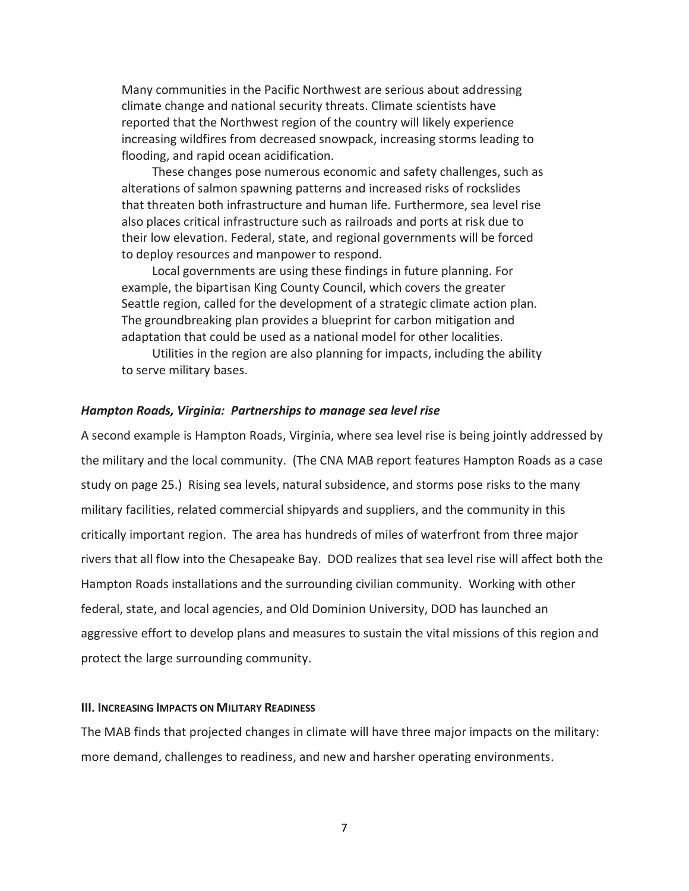Many communities in the Pacific Northwest are serious about addressing climate change and national security threats. Climate scientists have reported that the Northwest region of the country will likely experience increasing wildfires from decreased snowpack, increasing storms leading to flooding, and rapid ocean acidification.

These changes pose numerous economic and safety challenges, such as alterations of salmon spawning patterns and increased risks of rockslides that threaten both infrastructure and human life. Furthermore, sea level rise also places critical infrastructure such as railroads and ports at risk due to their low elevation. Federal, state, and regional governments will be forced to deploy resources and manpower to respond.

Local governments are using these findings in future planning. For example, the bipartisan King County Council, which covers the greater Seattle region, called for the development of a strategic climate action plan. The groundbreaking plan provides a blueprint for carbon mitigation and adaptation that could be used as a national model for other localities.

Utilities in the region are also planning for impacts, including the ability to serve military bases.

# *Hampton Roads, Virginia: Partnerships to manage sea level rise*

A second example is Hampton Roads, Virginia, where sea level rise is being jointly addressed by the military and the local community. (The CNA MAB report features Hampton Roads as a case study on page 25.) Rising sea levels, natural subsidence, and storms pose risks to the many military facilities, related commercial shipyards and suppliers, and the community in this critically important region. The area has hundreds of miles of waterfront from three major rivers that all flow into the Chesapeake Bay. DOD realizes that sea level rise will affect both the Hampton Roads installations and the surrounding civilian community. Working with other federal, state, and local agencies, and Old Dominion University, DOD has launched an aggressive effort to develop plans and measures to sustain the vital missions of this region and protect the large surrounding community.

### **III. INCREASING IMPACTS ON MILITARY READINESS**

The MAB finds that projected changes in climate will have three major impacts on the military: more demand, challenges to readiness, and new and harsher operating environments.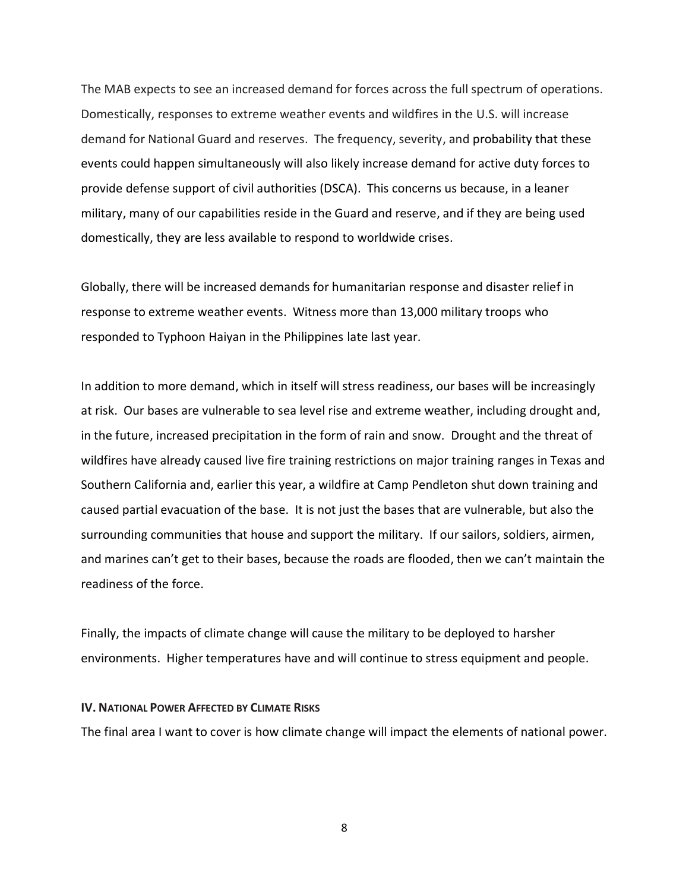The MAB expects to see an increased demand for forces across the full spectrum of operations. Domestically, responses to extreme weather events and wildfires in the U.S. will increase demand for National Guard and reserves. The frequency, severity, and probability that these events could happen simultaneously will also likely increase demand for active duty forces to provide defense support of civil authorities (DSCA). This concerns us because, in a leaner military, many of our capabilities reside in the Guard and reserve, and if they are being used domestically, they are less available to respond to worldwide crises.

Globally, there will be increased demands for humanitarian response and disaster relief in response to extreme weather events. Witness more than 13,000 military troops who responded to Typhoon Haiyan in the Philippines late last year.

In addition to more demand, which in itself will stress readiness, our bases will be increasingly at risk. Our bases are vulnerable to sea level rise and extreme weather, including drought and, in the future, increased precipitation in the form of rain and snow. Drought and the threat of wildfires have already caused live fire training restrictions on major training ranges in Texas and Southern California and, earlier this year, a wildfire at Camp Pendleton shut down training and caused partial evacuation of the base. It is not just the bases that are vulnerable, but also the surrounding communities that house and support the military. If our sailors, soldiers, airmen, and marines can't get to their bases, because the roads are flooded, then we can't maintain the readiness of the force.

Finally, the impacts of climate change will cause the military to be deployed to harsher environments. Higher temperatures have and will continue to stress equipment and people.

### **IV. NATIONAL POWER AFFECTED BY CLIMATE RISKS**

The final area I want to cover is how climate change will impact the elements of national power.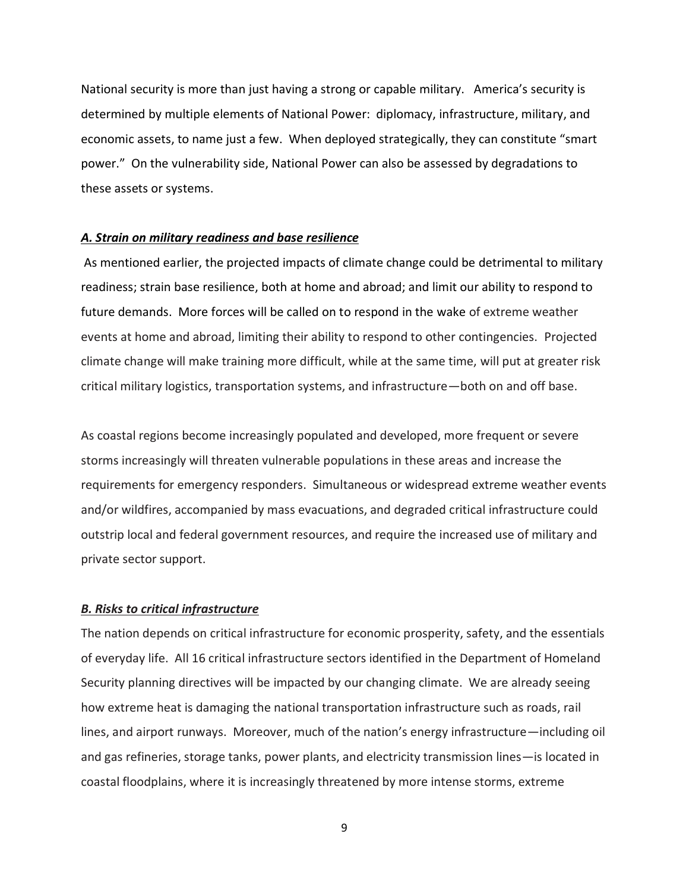National security is more than just having a strong or capable military. America's security is determined by multiple elements of National Power: diplomacy, infrastructure, military, and economic assets, to name just a few. When deployed strategically, they can constitute "smart power." On the vulnerability side, National Power can also be assessed by degradations to these assets or systems.

#### *A. Strain on military readiness and base resilience*

As mentioned earlier, the projected impacts of climate change could be detrimental to military readiness; strain base resilience, both at home and abroad; and limit our ability to respond to future demands. More forces will be called on to respond in the wake of extreme weather events at home and abroad, limiting their ability to respond to other contingencies. Projected climate change will make training more difficult, while at the same time, will put at greater risk critical military logistics, transportation systems, and infrastructure—both on and off base.

As coastal regions become increasingly populated and developed, more frequent or severe storms increasingly will threaten vulnerable populations in these areas and increase the requirements for emergency responders. Simultaneous or widespread extreme weather events and/or wildfires, accompanied by mass evacuations, and degraded critical infrastructure could outstrip local and federal government resources, and require the increased use of military and private sector support.

#### *B. Risks to critical infrastructure*

The nation depends on critical infrastructure for economic prosperity, safety, and the essentials of everyday life. All 16 critical infrastructure sectors identified in the Department of Homeland Security planning directives will be impacted by our changing climate. We are already seeing how extreme heat is damaging the national transportation infrastructure such as roads, rail lines, and airport runways. Moreover, much of the nation's energy infrastructure—including oil and gas refineries, storage tanks, power plants, and electricity transmission lines—is located in coastal floodplains, where it is increasingly threatened by more intense storms, extreme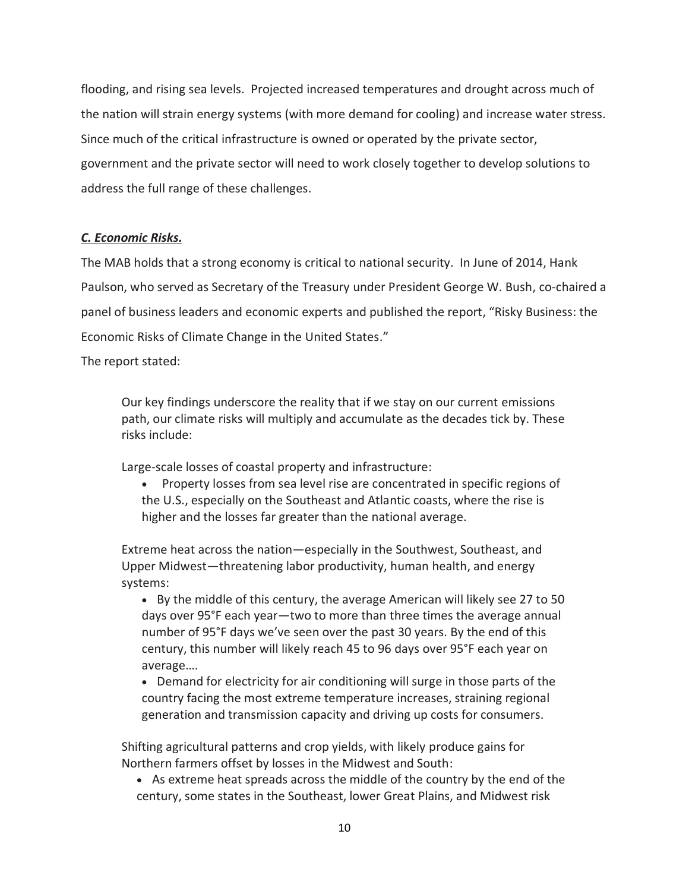flooding, and rising sea levels. Projected increased temperatures and drought across much of the nation will strain energy systems (with more demand for cooling) and increase water stress. Since much of the critical infrastructure is owned or operated by the private sector, government and the private sector will need to work closely together to develop solutions to address the full range of these challenges.

# *C. Economic Risks.*

The MAB holds that a strong economy is critical to national security. In June of 2014, Hank Paulson, who served as Secretary of the Treasury under President George W. Bush, co-chaired a panel of business leaders and economic experts and published the report, "Risky Business: the Economic Risks of Climate Change in the United States."

The report stated:

Our key findings underscore the reality that if we stay on our current emissions path, our climate risks will multiply and accumulate as the decades tick by. These risks include:

Large-scale losses of coastal property and infrastructure:

 Property losses from sea level rise are concentrated in specific regions of the U.S., especially on the Southeast and Atlantic coasts, where the rise is higher and the losses far greater than the national average.

Extreme heat across the nation—especially in the Southwest, Southeast, and Upper Midwest—threatening labor productivity, human health, and energy systems:

- By the middle of this century, the average American will likely see 27 to 50 days over 95°F each year—two to more than three times the average annual number of 95°F days we've seen over the past 30 years. By the end of this century, this number will likely reach 45 to 96 days over 95°F each year on average….
- Demand for electricity for air conditioning will surge in those parts of the country facing the most extreme temperature increases, straining regional generation and transmission capacity and driving up costs for consumers.

Shifting agricultural patterns and crop yields, with likely produce gains for Northern farmers offset by losses in the Midwest and South:

 As extreme heat spreads across the middle of the country by the end of the century, some states in the Southeast, lower Great Plains, and Midwest risk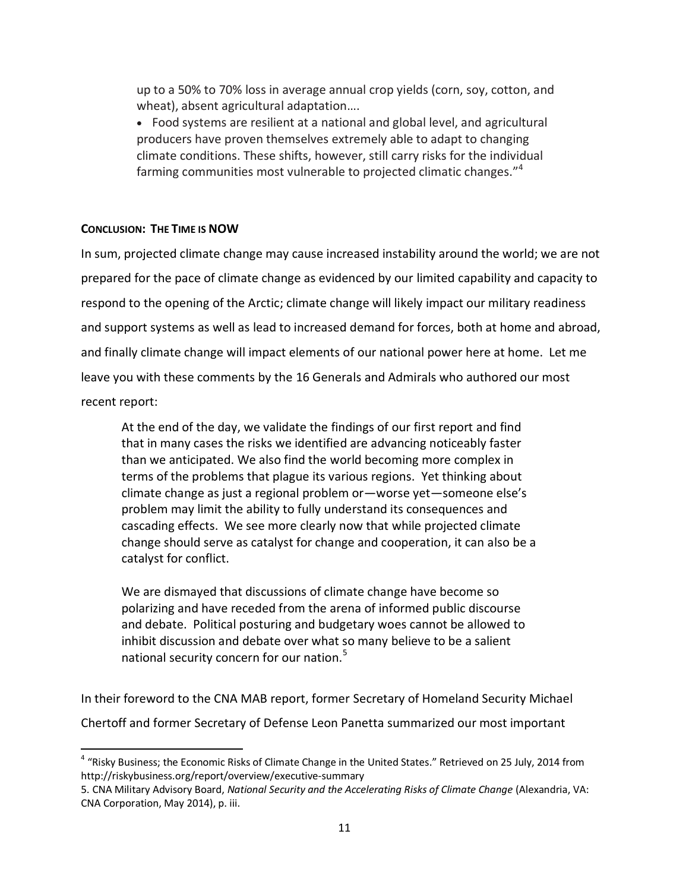up to a 50% to 70% loss in average annual crop yields (corn, soy, cotton, and wheat), absent agricultural adaptation….

 Food systems are resilient at a national and global level, and agricultural producers have proven themselves extremely able to adapt to changing climate conditions. These shifts, however, still carry risks for the individual farming communities most vulnerable to projected climatic changes."<sup>4</sup>

# **CONCLUSION: THE TIME IS NOW**

 $\overline{\phantom{a}}$ 

In sum, projected climate change may cause increased instability around the world; we are not prepared for the pace of climate change as evidenced by our limited capability and capacity to respond to the opening of the Arctic; climate change will likely impact our military readiness and support systems as well as lead to increased demand for forces, both at home and abroad, and finally climate change will impact elements of our national power here at home. Let me leave you with these comments by the 16 Generals and Admirals who authored our most recent report:

At the end of the day, we validate the findings of our first report and find that in many cases the risks we identified are advancing noticeably faster than we anticipated. We also find the world becoming more complex in terms of the problems that plague its various regions. Yet thinking about climate change as just a regional problem or—worse yet—someone else's problem may limit the ability to fully understand its consequences and cascading effects. We see more clearly now that while projected climate change should serve as catalyst for change and cooperation, it can also be a catalyst for conflict.

We are dismayed that discussions of climate change have become so polarizing and have receded from the arena of informed public discourse and debate. Political posturing and budgetary woes cannot be allowed to inhibit discussion and debate over what so many believe to be a salient national security concern for our nation.<sup>5</sup>

In their foreword to the CNA MAB report, former Secretary of Homeland Security Michael Chertoff and former Secretary of Defense Leon Panetta summarized our most important

<sup>&</sup>lt;sup>4</sup> "Risky Business; the Economic Risks of Climate Change in the United States." Retrieved on 25 July, 2014 from http://riskybusiness.org/report/overview/executive-summary

<sup>5.</sup> CNA Military Advisory Board, *National Security and the Accelerating Risks of Climate Change* (Alexandria, VA: CNA Corporation, May 2014), p. iii.